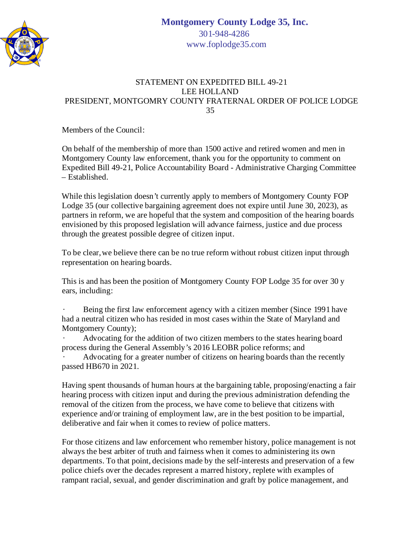

## STATEMENT ON EXPEDITED BILL 49-21 LEE HOLLAND PRESIDENT, MONTGOMRY COUNTY FRATERNAL ORDER OF POLICE LODGE 35

Members of the Council:

On behalf of the membership of more than 1500 active and retired women and men in Montgomery County law enforcement, thank you for the opportunity to comment on Expedited Bill 49-21, Police Accountability Board - Administrative Charging Committee  $-$  Established.

While this legislation doesn't currently apply to members of Montgomery County FOP Lodge 35 (our collective bargaining agreement does not expire until June 30, 2023), as partners in reform, we are hopeful that the system and composition of the hearing boards envisioned by this proposed legislation will advance fairness, justice and due process through the greatest possible degree of citizen input.

To be clear, we believe there can be no true reform without robust citizen input through representation on hearing boards.

This is and has been the position of Montgomery County FOP Lodge 35 for over 30 y ears, including:

· Being the first law enforcement agency with a citizen member (Since 1991 have had a neutral citizen who has resided in most cases within the State of Maryland and Montgomery County);

· Advocating for the addition of two citizen members to the states hearing board process during the General Assembly's 2016 LEOBR police reforms; and

Advocating for a greater number of citizens on hearing boards than the recently passed HB670 in 2021.

Having spent thousands of human hours at the bargaining table, proposing/enacting a fair hearing process with citizen input and during the previous administration defending the removal of the citizen from the process, we have come to believe that citizens with experience and/or training of employment law, are in the best position to be impartial, deliberative and fair when it comes to review of police matters.

For those citizens and law enforcement who remember history, police management is not always the best arbiter of truth and fairness when it comes to administering its own departments. To that point, decisions made by the self-interests and preservation of a few police chiefs over the decades represent a marred history, replete with examples of rampant racial, sexual, and gender discrimination and graft by police management, and